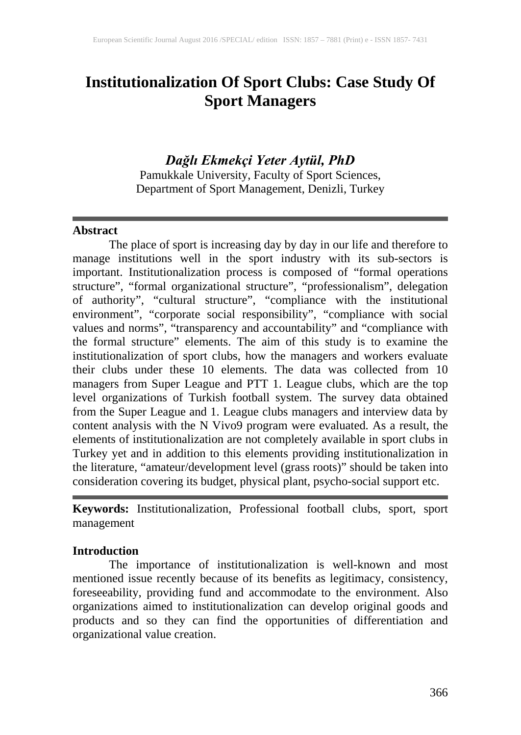# **Institutionalization Of Sport Clubs: Case Study Of Sport Managers**

# *Dağlı Ekmekçi Yeter Aytül, PhD*

Pamukkale University, Faculty of Sport Sciences, Department of Sport Management, Denizli, Turkey

#### **Abstract**

The place of sport is increasing day by day in our life and therefore to manage institutions well in the sport industry with its sub-sectors is important. Institutionalization process is composed of "formal operations structure", "formal organizational structure", "professionalism", delegation of authority", "cultural structure", "compliance with the institutional environment", "corporate social responsibility", "compliance with social values and norms", "transparency and accountability" and "compliance with the formal structure" elements. The aim of this study is to examine the institutionalization of sport clubs, how the managers and workers evaluate their clubs under these 10 elements. The data was collected from 10 managers from Super League and PTT 1. League clubs, which are the top level organizations of Turkish football system. The survey data obtained from the Super League and 1. League clubs managers and interview data by content analysis with the N Vivo9 program were evaluated. As a result, the elements of institutionalization are not completely available in sport clubs in Turkey yet and in addition to this elements providing institutionalization in the literature, "amateur/development level (grass roots)" should be taken into consideration covering its budget, physical plant, psycho-social support etc.

**Keywords:** Institutionalization, Professional football clubs, sport, sport management

#### **Introduction**

The importance of institutionalization is well-known and most mentioned issue recently because of its benefits as legitimacy, consistency, foreseeability, providing fund and accommodate to the environment. Also organizations aimed to institutionalization can develop original goods and products and so they can find the opportunities of differentiation and organizational value creation.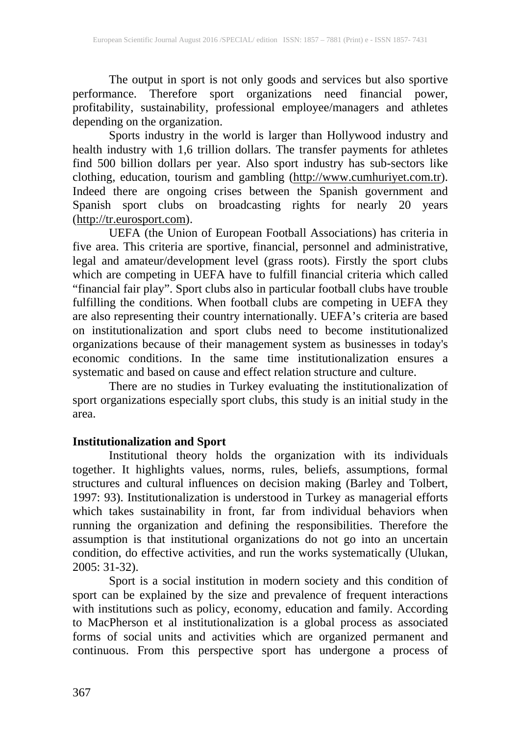The output in sport is not only goods and services but also sportive performance. Therefore sport organizations need financial power, profitability, sustainability, professional employee/managers and athletes depending on the organization.

Sports industry in the world is larger than Hollywood industry and health industry with 1,6 trillion dollars. The transfer payments for athletes find 500 billion dollars per year. Also sport industry has sub-sectors like clothing, education, tourism and gambling [\(http://www.cumhuriyet.com.tr\)](http://www.cumhuriyet.com.tr/). Indeed there are ongoing crises between the Spanish government and Spanish sport clubs on broadcasting rights for nearly 20 years [\(http://tr.eurosport.com\)](http://tr.eurosport.com/).

UEFA (the Union of European Football Associations) has criteria in five area. This criteria are sportive, financial, personnel and administrative, legal and amateur/development level (grass roots). Firstly the sport clubs which are competing in UEFA have to fulfill financial criteria which called "financial fair play". Sport clubs also in particular football clubs have trouble fulfilling the conditions. When football clubs are competing in UEFA they are also representing their country internationally. UEFA's criteria are based on institutionalization and sport clubs need to become institutionalized organizations because of their management system as businesses in today's economic conditions. In the same time institutionalization ensures a systematic and based on cause and effect relation structure and culture.

There are no studies in Turkey evaluating the institutionalization of There are no studies in Turkey evaluating the institutionalization of sport organizations especially sport clubs, this study is an initial study in the area.

### **Institutionalization and Sport**

Institutional theory holds the organization with its individuals together. It highlights values, norms, rules, beliefs, assumptions, formal structures and cultural influences on decision making (Barley and Tolbert, 1997: 93). Institutionalization is understood in Turkey as managerial efforts which takes sustainability in front, far from individual behaviors when running the organization and defining the responsibilities. Therefore the assumption is that institutional organizations do not go into an uncertain condition, do effective activities, and run the works systematically (Ulukan, 2005: 31-32).

Sport is a social institution in modern society and this condition of sport can be explained by the size and prevalence of frequent interactions with institutions such as policy, economy, education and family. According to MacPherson et al institutionalization is a global process as associated forms of social units and activities which are organized permanent and continuous. From this perspective sport has undergone a process of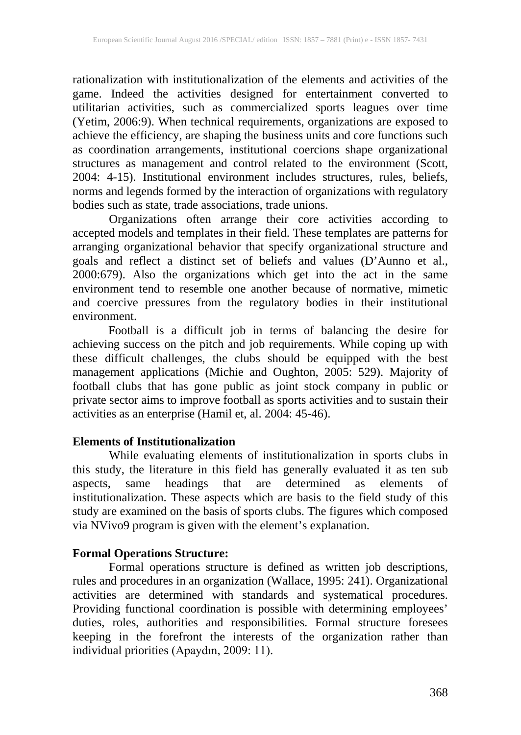rationalization with institutionalization of the elements and activities of the game. Indeed the activities designed for entertainment converted to utilitarian activities, such as commercialized sports leagues over time (Yetim, 2006:9). When technical requirements, organizations are exposed to achieve the efficiency, are shaping the business units and core functions such as coordination arrangements, institutional coercions shape organizational structures as management and control related to the environment (Scott, 2004: 4-15). Institutional environment includes structures, rules, beliefs, norms and legends formed by the interaction of organizations with regulatory bodies such as state, trade associations, trade unions.

Organizations often arrange their core activities according to accepted models and templates in their field. These templates are patterns for arranging organizational behavior that specify organizational structure and goals and reflect a distinct set of beliefs and values (D'Aunno et al., 2000:679). Also the organizations which get into the act in the same environment tend to resemble one another because of normative, mimetic and coercive pressures from the regulatory bodies in their institutional environment.

Football is a difficult job in terms of balancing the desire for achieving success on the pitch and job requirements. While coping up with these difficult challenges, the clubs should be equipped with the best management applications (Michie and Oughton, 2005: 529). Majority of football clubs that has gone public as joint stock company in public or private sector aims to improve football as sports activities and to sustain their activities as an enterprise (Hamil et, al. 2004: 45-46).

### **Elements of Institutionalization**

While evaluating elements of institutionalization in sports clubs in this study, the literature in this field has generally evaluated it as ten sub aspects, same headings that are determined as elements of institutionalization. These aspects which are basis to the field study of this study are examined on the basis of sports clubs. The figures which composed via NVivo9 program is given with the element's explanation.

#### **Formal Operations Structure:**

Formal operations structure is defined as written job descriptions, rules and procedures in an organization (Wallace, 1995: 241). Organizational activities are determined with standards and systematical procedures. Providing functional coordination is possible with determining employees' duties, roles, authorities and responsibilities. Formal structure foresees keeping in the forefront the interests of the organization rather than individual priorities (Apaydın, 2009: 11).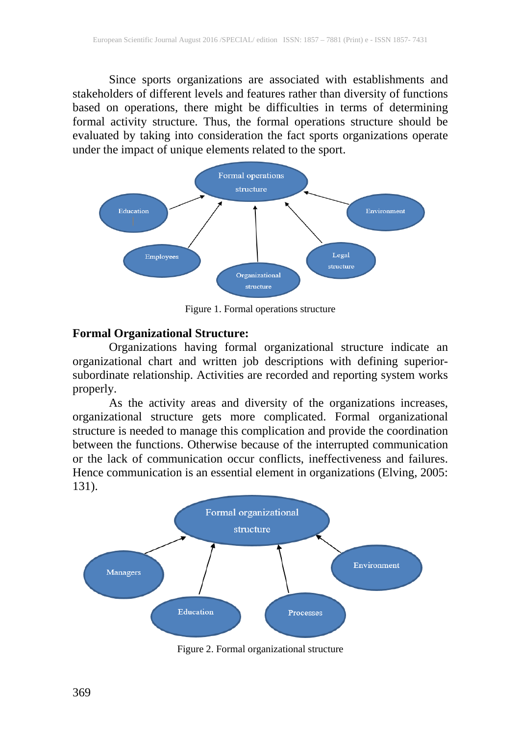Since sports organizations are associated with establishments and stakeholders of different levels and features rather than diversity of functions based on operations, there might be difficulties in terms of determining formal activity structure. Thus, the formal operations structure should be evaluated by taking into consideration the fact sports organizations operate under the impact of unique elements related to the sport.



Figure 1. Formal operations structure

#### **Formal Organizational Structure:**

Organizations having formal organizational structure indicate an organizational chart and written job descriptions with defining superiorsubordinate relationship. Activities are recorded and reporting system works properly.

As the activity areas and diversity of the organizations increases, organizational structure gets more complicated. Formal organizational structure is needed to manage this complication and provide the coordination between the functions. Otherwise because of the interrupted communication or the lack of communication occur conflicts, ineffectiveness and failures. Hence communication is an essential element in organizations (Elving, 2005: 131).



Figure 2. Formal organizational structure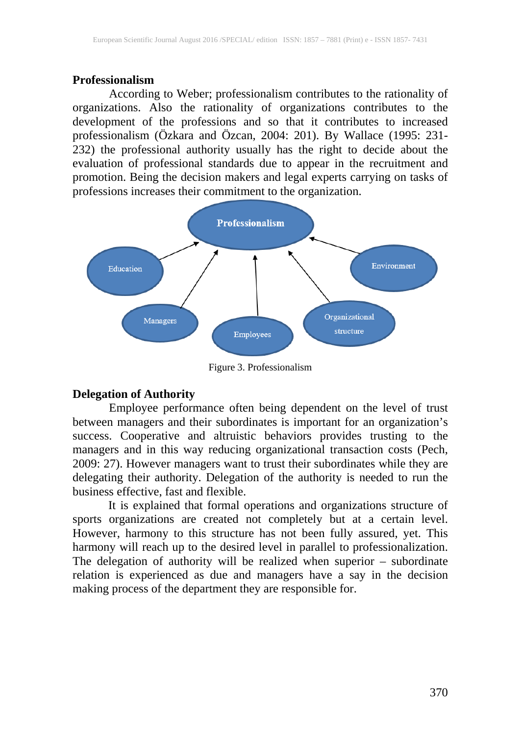#### **Professionalism**

According to Weber; professionalism contributes to the rationality of organizations. Also the rationality of organizations contributes to the development of the professions and so that it contributes to increased professionalism (Özkara and Özcan, 2004: 201). By Wallace (1995: 231- 232) the professional authority usually has the right to decide about the evaluation of professional standards due to appear in the recruitment and promotion. Being the decision makers and legal experts carrying on tasks of professions increases their commitment to the organization.



Figure 3. Professionalism

#### **Delegation of Authority**

Employee performance often being dependent on the level of trust between managers and their subordinates is important for an organization's success. Cooperative and altruistic behaviors provides trusting to the managers and in this way reducing organizational transaction costs (Pech, 2009: 27). However managers want to trust their subordinates while they are delegating their authority. Delegation of the authority is needed to run the business effective, fast and flexible.

It is explained that formal operations and organizations structure of sports organizations are created not completely but at a certain level. However, harmony to this structure has not been fully assured, yet. This harmony will reach up to the desired level in parallel to professionalization. The delegation of authority will be realized when superior – subordinate relation is experienced as due and managers have a say in the decision making process of the department they are responsible for.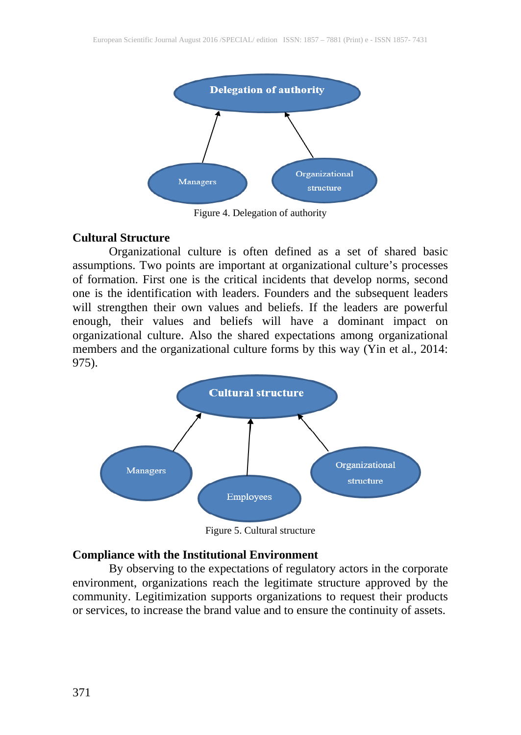

Figure 4. Delegation of authority

#### **Cultural Structure**

Organizational culture is often defined as a set of shared basic assumptions. Two points are important at organizational culture's processes of formation. First one is the critical incidents that develop norms, second one is the identification with leaders. Founders and the subsequent leaders will strengthen their own values and beliefs. If the leaders are powerful enough, their values and beliefs will have a dominant impact on organizational culture. Also the shared expectations among organizational members and the organizational culture forms by this way (Yin et al., 2014: 975).



Figure 5. Cultural structure

#### **Compliance with the Institutional Environment**

By observing to the expectations of regulatory actors in the corporate environment, organizations reach the legitimate structure approved by the community. Legitimization supports organizations to request their products or services, to increase the brand value and to ensure the continuity of assets.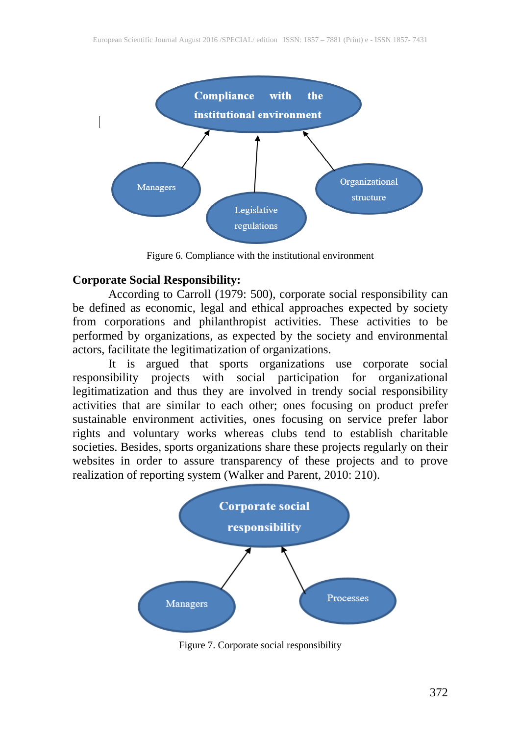

Figure 6. Compliance with the institutional environment

#### **Corporate Social Responsibility:**

According to Carroll (1979: 500), corporate social responsibility can be defined as economic, legal and ethical approaches expected by society from corporations and philanthropist activities. These activities to be performed by organizations, as expected by the society and environmental actors, facilitate the legitimatization of organizations.

It is argued that sports organizations use corporate social<br>sibility projects with social participation for organizational responsibility projects with social participation for legitimatization and thus they are involved in trendy social responsibility activities that are similar to each other; ones focusing on product prefer sustainable environment activities, ones focusing on service prefer labor rights and voluntary works whereas clubs tend to establish charitable societies. Besides, sports organizations share these projects regularly on their websites in order to assure transparency of these projects and to prove realization of reporting system (Walker and Parent, 2010: 210).



Figure 7. Corporate social responsibility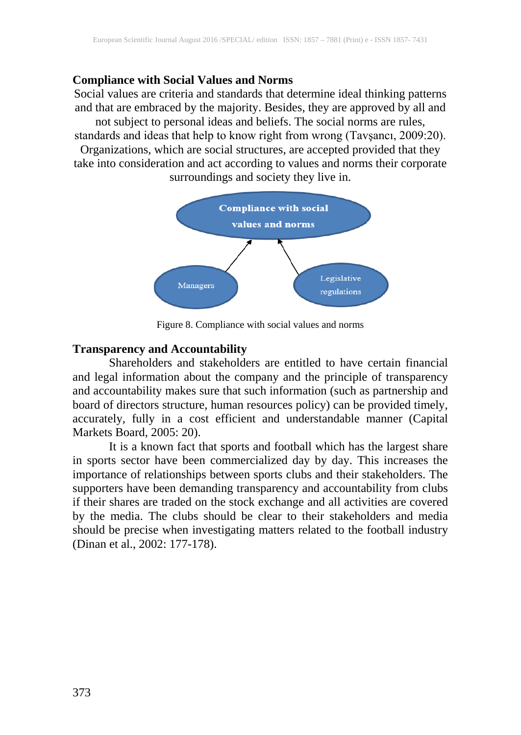#### **Compliance with Social Values and Norms**

Social values are criteria and standards that determine ideal thinking patterns and that are embraced by the majority. Besides, they are approved by all and not subject to personal ideas and beliefs. The social norms are rules, standards and ideas that help to know right from wrong (Tavşancı, 2009:20). Organizations, which are social structures, are accepted provided that they take into consideration and act according to values and norms their corporate surroundings and society they live in.



Figure 8. Compliance with social values and norms

#### **Transparency and Accountability**

Shareholders and stakeholders are entitled to have certain financial and legal information about the company and the principle of transparency and accountability makes sure that such information (such as partnership and board of directors structure, human resources policy) can be provided timely, accurately, fully in a cost efficient and understandable manner (Capital Markets Board, 2005: 20).

It is a known fact that sports and football which has the largest share in sports sector have been commercialized day by day. This increases the importance of relationships between sports clubs and their stakeholders. The supporters have been demanding transparency and accountability from clubs if their shares are traded on the stock exchange and all activities are covered by the media. The clubs should be clear to their stakeholders and media should be precise when investigating matters related to the football industry (Dinan et al., 2002: 177-178).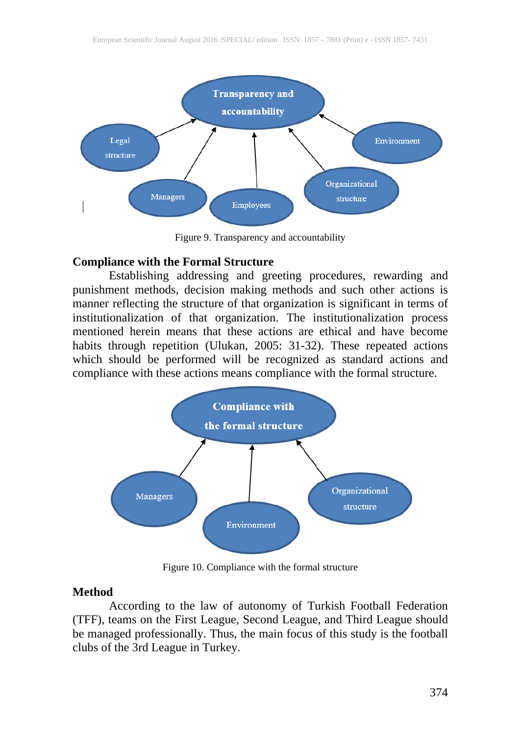

Figure 9. Transparency and accountability

#### **Compliance with the Formal Structure**

Establishing addressing and greeting procedures, rewarding and punishment methods, decision making methods and such other actions is manner reflecting the structure of that organization is significant in terms of institutionalization of that organization. The institutionalization process mentioned herein means that these actions are ethical and have become habits through repetition (Ulukan, 2005: 31-32). These repeated actions which should be performed will be recognized as standard actions and compliance with these actions means compliance with the formal structure.



Figure 10. Compliance with the formal structure

#### **Method**

According to the law of autonomy of Turkish Football Federation (TFF), teams on the First League, Second League, and Third League should be managed professionally. Thus, the main focus of this study is the football clubs of the 3rd League in Turkey.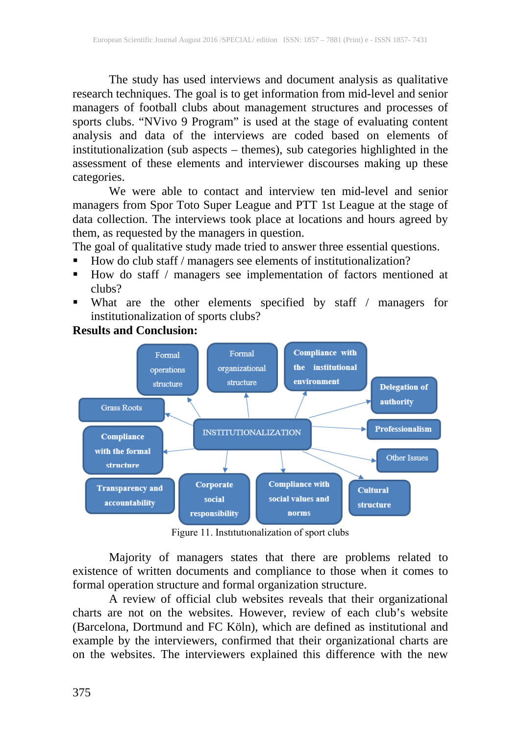The study has used interviews and document analysis as qualitative research techniques. The goal is to get information from mid-level and senior managers of football clubs about management structures and processes of sports clubs. "NVivo 9 Program" is used at the stage of evaluating content analysis and data of the interviews are coded based on elements of institutionalization (sub aspects – themes), sub categories highlighted in the assessment of these elements and interviewer discourses making up these categories.

We were able to contact and interview ten mid-level and senior managers from Spor Toto Super League and PTT 1st League at the stage of data collection. The interviews took place at locations and hours agreed by them, as requested by the managers in question.

The goal of qualitative study made tried to answer three essential questions.

- How do club staff / managers see elements of institutionalization?
- $\blacksquare$  How do staff / managers see implementation of factors mentioned at clubs?
- What are the other elements specified by staff / managers for institutionalization of sports clubs?



#### **Results and Conclusion:**

Figure 11. Instıtutıonalization of sport clubs

Majority of managers states that there are problems related to existence of written documents and compliance to those when it comes to formal operation structure and formal organization structure.

A review of official club websites reveals that their organizational charts are not on the websites. However, review of each club's website (Barcelona, Dortmund and FC Köln), which are defined as institutional and example by the interviewers, confirmed that their organizational charts are on the websites. The interviewers explained this difference with the new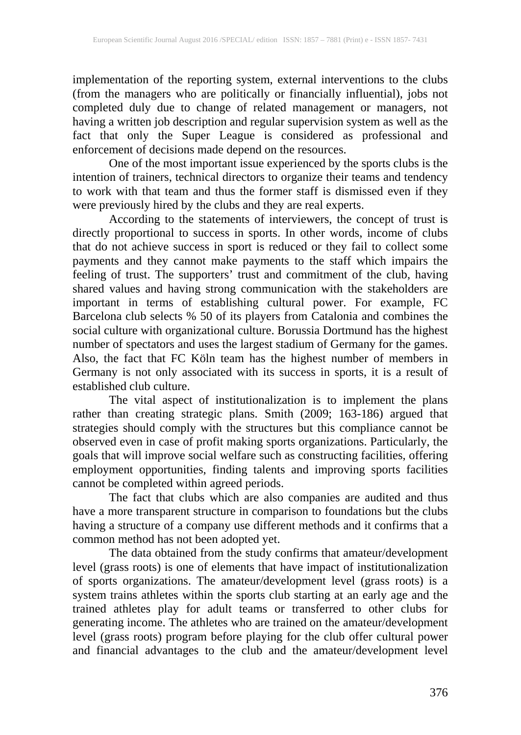implementation of the reporting system, external interventions to the clubs (from the managers who are politically or financially influential), jobs not completed duly due to change of related management or managers, not having a written job description and regular supervision system as well as the fact that only the Super League is considered as professional and enforcement of decisions made depend on the resources.

One of the most important issue experienced by the sports clubs is the intention of trainers, technical directors to organize their teams and tendency to work with that team and thus the former staff is dismissed even if they were previously hired by the clubs and they are real experts.

According to the statements of interviewers, the concept of trust is directly proportional to success in sports. In other words, income of clubs that do not achieve success in sport is reduced or they fail to collect some payments and they cannot make payments to the staff which impairs the feeling of trust. The supporters' trust and commitment of the club, having shared values and having strong communication with the stakeholders are important in terms of establishing cultural power. For example, FC Barcelona club selects % 50 of its players from Catalonia and combines the social culture with organizational culture. Borussia Dortmund has the highest number of spectators and uses the largest stadium of Germany for the games. Also, the fact that FC Köln team has the highest number of members in Germany is not only associated with its success in sports, it is a result of established club culture.

The vital aspect of institutionalization is to implement the plans rather than creating strategic plans. Smith (2009; 163-186) argued that strategies should comply with the structures but this compliance cannot be observed even in case of profit making sports organizations. Particularly, the goals that will improve social welfare such as constructing facilities, offering employment opportunities, finding talents and improving sports facilities cannot be completed within agreed periods.

The fact that clubs which are also companies are audited and thus have a more transparent structure in comparison to foundations but the clubs having a structure of a company use different methods and it confirms that a common method has not been adopted yet.

The data obtained from the study confirms that amateur/development level (grass roots) is one of elements that have impact of institutionalization of sports organizations. The amateur/development level (grass roots) is a system trains athletes within the sports club starting at an early age and the trained athletes play for adult teams or transferred to other clubs for generating income. The athletes who are trained on the amateur/development level (grass roots) program before playing for the club offer cultural power and financial advantages to the club and the amateur/development level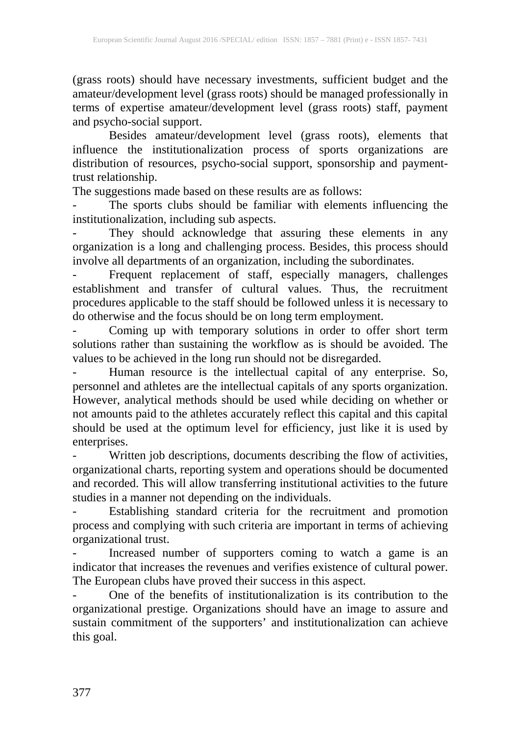(grass roots) should have necessary investments, sufficient budget and the amateur/development level (grass roots) should be managed professionally in terms of expertise amateur/development level (grass roots) staff, payment and psycho-social support.

Besides amateur/development level (grass roots), elements that influence the institutionalization process of sports organizations are distribution of resources, psycho-social support, sponsorship and paymenttrust relationship.

The suggestions made based on these results are as follows:

- The sports clubs should be familiar with elements influencing the institutionalization, including sub aspects.

- They should acknowledge that assuring these elements in any organization is a long and challenging process. Besides, this process should involve all departments of an organization, including the subordinates.

- Frequent replacement of staff, especially managers, challenges establishment and transfer of cultural values. Thus, the recruitment procedures applicable to the staff should be followed unless it is necessary to do otherwise and the focus should be on long term employment.

- Coming up with temporary solutions in order to offer short term solutions rather than sustaining the workflow as is should be avoided. The values to be achieved in the long run should not be disregarded.

- Human resource is the intellectual capital of any enterprise. So, personnel and athletes are the intellectual capitals of any sports organization. However, analytical methods should be used while deciding on whether or not amounts paid to the athletes accurately reflect this capital and this capital should be used at the optimum level for efficiency, just like it is used by enterprises.

- Written job descriptions, documents describing the flow of activities, organizational charts, reporting system and operations should be documented and recorded. This will allow transferring institutional activities to the future studies in a manner not depending on the individuals.

- Establishing standard criteria for the recruitment and promotion process and complying with such criteria are important in terms of achieving organizational trust.

- Increased number of supporters coming to watch a game is an indicator that increases the revenues and verifies existence of cultural power. The European clubs have proved their success in this aspect.

One of the benefits of institutionalization is its contribution to the organizational prestige. Organizations should have an image to assure and sustain commitment of the supporters' and institutionalization can achieve this goal.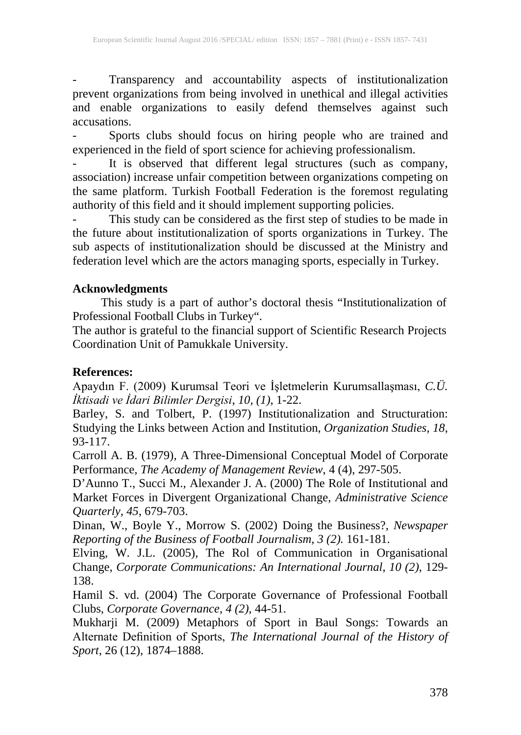- Transparency and accountability aspects of institutionalization prevent organizations from being involved in unethical and illegal activities and enable organizations to easily defend themselves against such accusations.

- Sports clubs should focus on hiring people who are trained and experienced in the field of sport science for achieving professionalism.

- It is observed that different legal structures (such as company, association) increase unfair competition between organizations competing on the same platform. Turkish Football Federation is the foremost regulating authority of this field and it should implement supporting policies.

- This study can be considered as the first step of studies to be made in the future about institutionalization of sports organizations in Turkey. The sub aspects of institutionalization should be discussed at the Ministry and federation level which are the actors managing sports, especially in Turkey.

## **Acknowledgments**

This study is a part of author's doctoral thesis "Institutionalization of Professional Football Clubs in Turkey".

The author is grateful to the financial support of Scientific Research Projects Coordination Unit of Pamukkale University.

# **References:**

Apaydın F. (2009) Kurumsal Teori ve İşletmelerin Kurumsallaşması, *C.Ü. İktisadi ve İdari Bilimler Dergisi*, *10, (1)*, 1-22.

Barley, S. and Tolbert, P. (1997) Institutionalization and Structuration: Studying the Links between Action and Institution, *Organization Studies, 18*, 93-117.

Carroll A. B. (1979), A Three-Dimensional Conceptual Model of Corporate Performance, *The Academy of Management Review*, 4 (4), 297-505.

D'Aunno T., Succi M., Alexander J. A. (2000) The Role of Institutional and Market Forces in Divergent Organizational Change, *Administrative Science Quarterly*, *45*, 679-703.

Dinan, W., Boyle Y., Morrow S. (2002) Doing the Business?, *Newspaper Reporting of the Business of Football Journalism*, *3 (2).* 161-181.

Elving, W. J.L. (2005), The Rol of Communication in Organisational Change, *Corporate Communications: An International Journal*, *10 (2)*, 129- 138.

Hamil S. vd. (2004) The Corporate Governance of Professional Football Clubs, *Corporate Governance*, *4 (2)*, 44-51.

Mukharji M. (2009) Metaphors of Sport in Baul Songs: Towards an Alternate Definition of Sports, *The International Journal of the History of Sport*, 26 (12), 1874–1888.